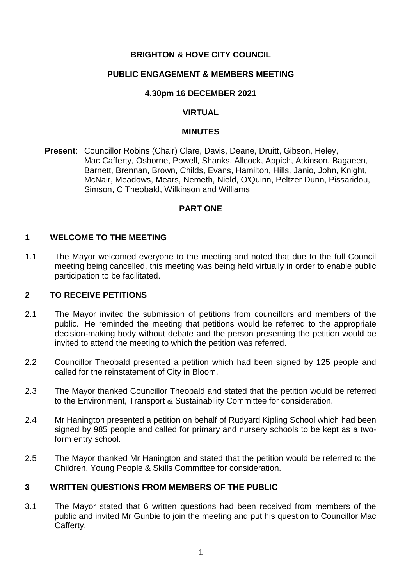# **BRIGHTON & HOVE CITY COUNCIL**

# **PUBLIC ENGAGEMENT & MEMBERS MEETING**

### **4.30pm 16 DECEMBER 2021**

# **VIRTUAL**

#### **MINUTES**

**Present**: Councillor Robins (Chair) Clare, Davis, Deane, Druitt, Gibson, Heley, Mac Cafferty, Osborne, Powell, Shanks, Allcock, Appich, Atkinson, Bagaeen, Barnett, Brennan, Brown, Childs, Evans, Hamilton, Hills, Janio, John, Knight, McNair, Meadows, Mears, Nemeth, Nield, O'Quinn, Peltzer Dunn, Pissaridou, Simson, C Theobald, Wilkinson and Williams

#### **PART ONE**

#### **1 WELCOME TO THE MEETING**

1.1 The Mayor welcomed everyone to the meeting and noted that due to the full Council meeting being cancelled, this meeting was being held virtually in order to enable public participation to be facilitated.

### **2 TO RECEIVE PETITIONS**

- 2.1 The Mayor invited the submission of petitions from councillors and members of the public. He reminded the meeting that petitions would be referred to the appropriate decision-making body without debate and the person presenting the petition would be invited to attend the meeting to which the petition was referred.
- 2.2 Councillor Theobald presented a petition which had been signed by 125 people and called for the reinstatement of City in Bloom.
- 2.3 The Mayor thanked Councillor Theobald and stated that the petition would be referred to the Environment, Transport & Sustainability Committee for consideration.
- 2.4 Mr Hanington presented a petition on behalf of Rudyard Kipling School which had been signed by 985 people and called for primary and nursery schools to be kept as a twoform entry school.
- 2.5 The Mayor thanked Mr Hanington and stated that the petition would be referred to the Children, Young People & Skills Committee for consideration.

# **3 WRITTEN QUESTIONS FROM MEMBERS OF THE PUBLIC**

3.1 The Mayor stated that 6 written questions had been received from members of the public and invited Mr Gunbie to join the meeting and put his question to Councillor Mac Cafferty.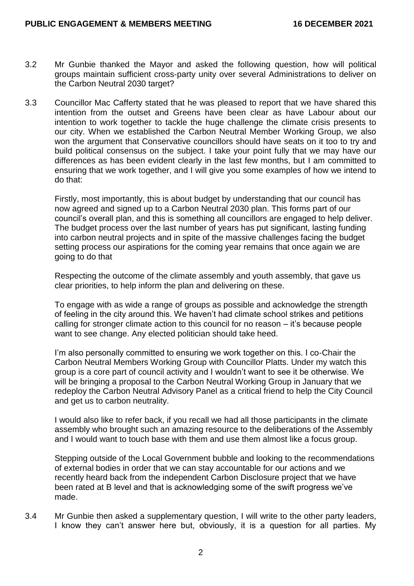- 3.2 Mr Gunbie thanked the Mayor and asked the following question, how will political groups maintain sufficient cross-party unity over several Administrations to deliver on the Carbon Neutral 2030 target?
- 3.3 Councillor Mac Cafferty stated that he was pleased to report that we have shared this intention from the outset and Greens have been clear as have Labour about our intention to work together to tackle the huge challenge the climate crisis presents to our city. When we established the Carbon Neutral Member Working Group, we also won the argument that Conservative councillors should have seats on it too to try and build political consensus on the subject. I take your point fully that we may have our differences as has been evident clearly in the last few months, but I am committed to ensuring that we work together, and I will give you some examples of how we intend to do that:

Firstly, most importantly, this is about budget by understanding that our council has now agreed and signed up to a Carbon Neutral 2030 plan. This forms part of our council's overall plan, and this is something all councillors are engaged to help deliver. The budget process over the last number of years has put significant, lasting funding into carbon neutral projects and in spite of the massive challenges facing the budget setting process our aspirations for the coming year remains that once again we are going to do that

Respecting the outcome of the climate assembly and youth assembly, that gave us clear priorities, to help inform the plan and delivering on these.

To engage with as wide a range of groups as possible and acknowledge the strength of feeling in the city around this. We haven't had climate school strikes and petitions calling for stronger climate action to this council for no reason – it's because people want to see change. Any elected politician should take heed.

I'm also personally committed to ensuring we work together on this. I co-Chair the Carbon Neutral Members Working Group with Councillor Platts. Under my watch this group is a core part of council activity and I wouldn't want to see it be otherwise. We will be bringing a proposal to the Carbon Neutral Working Group in January that we redeploy the Carbon Neutral Advisory Panel as a critical friend to help the City Council and get us to carbon neutrality.

I would also like to refer back, if you recall we had all those participants in the climate assembly who brought such an amazing resource to the deliberations of the Assembly and I would want to touch base with them and use them almost like a focus group.

Stepping outside of the Local Government bubble and looking to the recommendations of external bodies in order that we can stay accountable for our actions and we recently heard back from the independent Carbon Disclosure project that we have been rated at B level and that is acknowledging some of the swift progress we've made.

3.4 Mr Gunbie then asked a supplementary question, I will write to the other party leaders, I know they can't answer here but, obviously, it is a question for all parties. My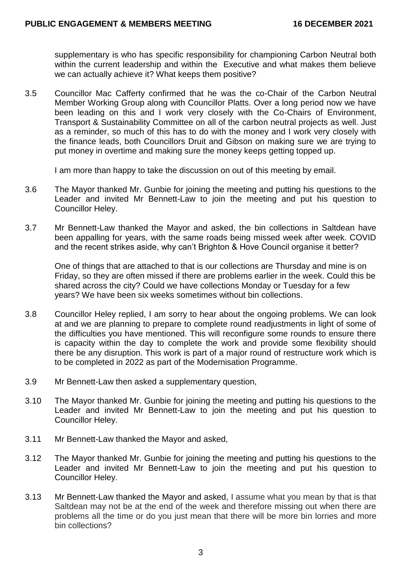supplementary is who has specific responsibility for championing Carbon Neutral both within the current leadership and within the Executive and what makes them believe we can actually achieve it? What keeps them positive?

3.5 Councillor Mac Cafferty confirmed that he was the co-Chair of the Carbon Neutral Member Working Group along with Councillor Platts. Over a long period now we have been leading on this and I work very closely with the Co-Chairs of Environment, Transport & Sustainability Committee on all of the carbon neutral projects as well. Just as a reminder, so much of this has to do with the money and I work very closely with the finance leads, both Councillors Druit and Gibson on making sure we are trying to put money in overtime and making sure the money keeps getting topped up.

I am more than happy to take the discussion on out of this meeting by email.

- 3.6 The Mayor thanked Mr. Gunbie for joining the meeting and putting his questions to the Leader and invited Mr Bennett-Law to join the meeting and put his question to Councillor Heley.
- 3.7 Mr Bennett-Law thanked the Mayor and asked, the bin collections in Saltdean have been appalling for years, with the same roads being missed week after week. COVID and the recent strikes aside, why can't Brighton & Hove Council organise it better?

One of things that are attached to that is our collections are Thursday and mine is on Friday, so they are often missed if there are problems earlier in the week. Could this be shared across the city? Could we have collections Monday or Tuesday for a few years? We have been six weeks sometimes without bin collections.

- 3.8 Councillor Heley replied, I am sorry to hear about the ongoing problems. We can look at and we are planning to prepare to complete round readjustments in light of some of the difficulties you have mentioned. This will reconfigure some rounds to ensure there is capacity within the day to complete the work and provide some flexibility should there be any disruption. This work is part of a major round of restructure work which is to be completed in 2022 as part of the Modernisation Programme.
- 3.9 Mr Bennett-Law then asked a supplementary question,
- 3.10 The Mayor thanked Mr. Gunbie for joining the meeting and putting his questions to the Leader and invited Mr Bennett-Law to join the meeting and put his question to Councillor Heley.
- 3.11 Mr Bennett-Law thanked the Mayor and asked,
- 3.12 The Mayor thanked Mr. Gunbie for joining the meeting and putting his questions to the Leader and invited Mr Bennett-Law to join the meeting and put his question to Councillor Heley.
- 3.13 Mr Bennett-Law thanked the Mayor and asked, I assume what you mean by that is that Saltdean may not be at the end of the week and therefore missing out when there are problems all the time or do you just mean that there will be more bin lorries and more bin collections?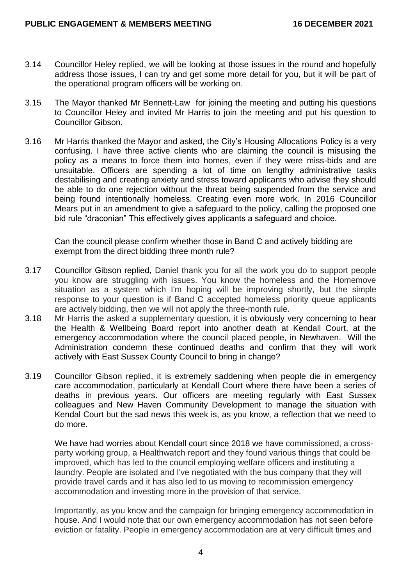- 3.14 Councillor Heley replied, we will be looking at those issues in the round and hopefully address those issues, I can try and get some more detail for you, but it will be part of the operational program officers will be working on.
- 3.15 The Mayor thanked Mr Bennett-Law for joining the meeting and putting his questions to Councillor Heley and invited Mr Harris to join the meeting and put his question to Councillor Gibson.
- 3.16 Mr Harris thanked the Mayor and asked, the City's Housing Allocations Policy is a very confusing. I have three active clients who are claiming the council is misusing the policy as a means to force them into homes, even if they were miss-bids and are unsuitable. Officers are spending a lot of time on lengthy administrative tasks destabilising and creating anxiety and stress toward applicants who advise they should be able to do one rejection without the threat being suspended from the service and being found intentionally homeless. Creating even more work. In 2016 Councillor Mears put in an amendment to give a safeguard to the policy, calling the proposed one bid rule "draconian" This effectively gives applicants a safeguard and choice.

Can the council please confirm whether those in Band C and actively bidding are exempt from the direct bidding three month rule?

- 3.17 Councillor Gibson replied, Daniel thank you for all the work you do to support people you know are struggling with issues. You know the homeless and the Homemove situation as a system which I'm hoping will be improving shortly, but the simple response to your question is if Band C accepted homeless priority queue applicants are actively bidding, then we will not apply the three-month rule.
- 3.18 Mr Harris the asked a supplementary question, it is obviously very concerning to hear the Health & Wellbeing Board report into another death at Kendall Court, at the emergency accommodation where the council placed people, in Newhaven. Will the Administration condemn these continued deaths and confirm that they will work actively with East Sussex County Council to bring in change?
- 3.19 Councillor Gibson replied, it is extremely saddening when people die in emergency care accommodation, particularly at Kendall Court where there have been a series of deaths in previous years. Our officers are meeting regularly with East Sussex colleagues and New Haven Community Development to manage the situation with Kendal Court but the sad news this week is, as you know, a reflection that we need to do more.

We have had worries about Kendall court since 2018 we have commissioned, a crossparty working group, a Healthwatch report and they found various things that could be improved, which has led to the council employing welfare officers and instituting a laundry. People are isolated and I've negotiated with the bus company that they will provide travel cards and it has also led to us moving to recommission emergency accommodation and investing more in the provision of that service.

Importantly, as you know and the campaign for bringing emergency accommodation in house. And I would note that our own emergency accommodation has not seen before eviction or fatality. People in emergency accommodation are at very difficult times and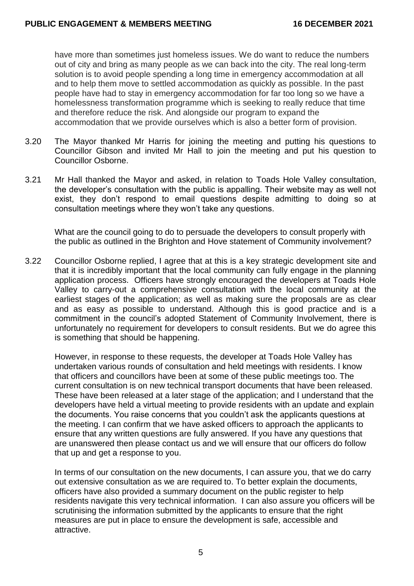have more than sometimes just homeless issues. We do want to reduce the numbers out of city and bring as many people as we can back into the city. The real long-term solution is to avoid people spending a long time in emergency accommodation at all and to help them move to settled accommodation as quickly as possible. In the past people have had to stay in emergency accommodation for far too long so we have a homelessness transformation programme which is seeking to really reduce that time and therefore reduce the risk. And alongside our program to expand the accommodation that we provide ourselves which is also a better form of provision.

- 3.20 The Mayor thanked Mr Harris for joining the meeting and putting his questions to Councillor Gibson and invited Mr Hall to join the meeting and put his question to Councillor Osborne.
- 3.21 Mr Hall thanked the Mayor and asked, in relation to Toads Hole Valley consultation, the developer's consultation with the public is appalling. Their website may as well not exist, they don't respond to email questions despite admitting to doing so at consultation meetings where they won't take any questions.

What are the council going to do to persuade the developers to consult properly with the public as outlined in the Brighton and Hove statement of Community involvement?

3.22 Councillor Osborne replied, I agree that at this is a key strategic development site and that it is incredibly important that the local community can fully engage in the planning application process. Officers have strongly encouraged the developers at Toads Hole Valley to carry-out a comprehensive consultation with the local community at the earliest stages of the application; as well as making sure the proposals are as clear and as easy as possible to understand. Although this is good practice and is a commitment in the council's adopted Statement of Community Involvement, there is unfortunately no requirement for developers to consult residents. But we do agree this is something that should be happening.

However, in response to these requests, the developer at Toads Hole Valley has undertaken various rounds of consultation and held meetings with residents. I know that officers and councillors have been at some of these public meetings too. The current consultation is on new technical transport documents that have been released. These have been released at a later stage of the application; and I understand that the developers have held a virtual meeting to provide residents with an update and explain the documents. You raise concerns that you couldn't ask the applicants questions at the meeting. I can confirm that we have asked officers to approach the applicants to ensure that any written questions are fully answered. If you have any questions that are unanswered then please contact us and we will ensure that our officers do follow that up and get a response to you.

In terms of our consultation on the new documents, I can assure you, that we do carry out extensive consultation as we are required to. To better explain the documents, officers have also provided a summary document on the public register to help residents navigate this very technical information. I can also assure you officers will be scrutinising the information submitted by the applicants to ensure that the right measures are put in place to ensure the development is safe, accessible and attractive.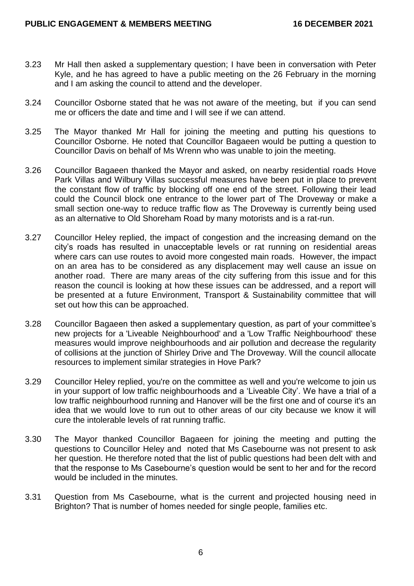- 3.23 Mr Hall then asked a supplementary question; I have been in conversation with Peter Kyle, and he has agreed to have a public meeting on the 26 February in the morning and I am asking the council to attend and the developer.
- 3.24 Councillor Osborne stated that he was not aware of the meeting, but if you can send me or officers the date and time and I will see if we can attend.
- 3.25 The Mayor thanked Mr Hall for joining the meeting and putting his questions to Councillor Osborne. He noted that Councillor Bagaeen would be putting a question to Councillor Davis on behalf of Ms Wrenn who was unable to join the meeting.
- 3.26 Councillor Bagaeen thanked the Mayor and asked, on nearby residential roads Hove Park Villas and Wilbury Villas successful measures have been put in place to prevent the constant flow of traffic by blocking off one end of the street. Following their lead could the Council block one entrance to the lower part of The Droveway or make a small section one-way to reduce traffic flow as The Droveway is currently being used as an alternative to Old Shoreham Road by many motorists and is a rat-run.
- 3.27 Councillor Heley replied, the impact of congestion and the increasing demand on the city's roads has resulted in unacceptable levels or rat running on residential areas where cars can use routes to avoid more congested main roads. However, the impact on an area has to be considered as any displacement may well cause an issue on another road. There are many areas of the city suffering from this issue and for this reason the council is looking at how these issues can be addressed, and a report will be presented at a future Environment, Transport & Sustainability committee that will set out how this can be approached.
- 3.28 Councillor Bagaeen then asked a supplementary question, as part of your committee's new projects for a 'Liveable Neighbourhood' and a 'Low Traffic Neighbourhood' these measures would improve neighbourhoods and air pollution and decrease the regularity of collisions at the junction of Shirley Drive and The Droveway. Will the council allocate resources to implement similar strategies in Hove Park?
- 3.29 Councillor Heley replied, you're on the committee as well and you're welcome to join us in your support of low traffic neighbourhoods and a 'Liveable City'. We have a trial of a low traffic neighbourhood running and Hanover will be the first one and of course it's an idea that we would love to run out to other areas of our city because we know it will cure the intolerable levels of rat running traffic.
- 3.30 The Mayor thanked Councillor Bagaeen for joining the meeting and putting the questions to Councillor Heley and noted that Ms Casebourne was not present to ask her question. He therefore noted that the list of public questions had been delt with and that the response to Ms Casebourne's question would be sent to her and for the record would be included in the minutes.
- 3.31 Question from Ms Casebourne, what is the current and projected housing need in Brighton? That is number of homes needed for single people, families etc.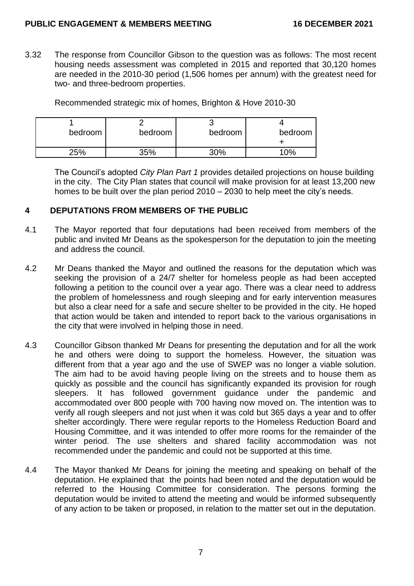3.32 The response from Councillor Gibson to the question was as follows: The most recent housing needs assessment was completed in 2015 and reported that 30,120 homes are needed in the 2010-30 period (1,506 homes per annum) with the greatest need for two- and three-bedroom properties.

Recommended strategic mix of homes, Brighton & Hove 2010-30

| bedroom | bedroom | bedroom | bedroom |
|---------|---------|---------|---------|
| 25%     | 35%     | 30%     | $0\%$   |

The Council's adopted *City Plan Part 1* provides detailed projections on house building in the city. The City Plan states that council will make provision for at least 13,200 new homes to be built over the plan period 2010 – 2030 to help meet the city's needs.

# **4 DEPUTATIONS FROM MEMBERS OF THE PUBLIC**

- 4.1 The Mayor reported that four deputations had been received from members of the public and invited Mr Deans as the spokesperson for the deputation to join the meeting and address the council.
- 4.2 Mr Deans thanked the Mayor and outlined the reasons for the deputation which was seeking the provision of a 24/7 shelter for homeless people as had been accepted following a petition to the council over a year ago. There was a clear need to address the problem of homelessness and rough sleeping and for early intervention measures but also a clear need for a safe and secure shelter to be provided in the city. He hoped that action would be taken and intended to report back to the various organisations in the city that were involved in helping those in need.
- 4.3 Councillor Gibson thanked Mr Deans for presenting the deputation and for all the work he and others were doing to support the homeless. However, the situation was different from that a year ago and the use of SWEP was no longer a viable solution. The aim had to be avoid having people living on the streets and to house them as quickly as possible and the council has significantly expanded its provision for rough sleepers. It has followed government guidance under the pandemic and accommodated over 800 people with 700 having now moved on. The intention was to verify all rough sleepers and not just when it was cold but 365 days a year and to offer shelter accordingly. There were regular reports to the Homeless Reduction Board and Housing Committee, and it was intended to offer more rooms for the remainder of the winter period. The use shelters and shared facility accommodation was not recommended under the pandemic and could not be supported at this time.
- 4.4 The Mayor thanked Mr Deans for joining the meeting and speaking on behalf of the deputation. He explained that the points had been noted and the deputation would be referred to the Housing Committee for consideration. The persons forming the deputation would be invited to attend the meeting and would be informed subsequently of any action to be taken or proposed, in relation to the matter set out in the deputation.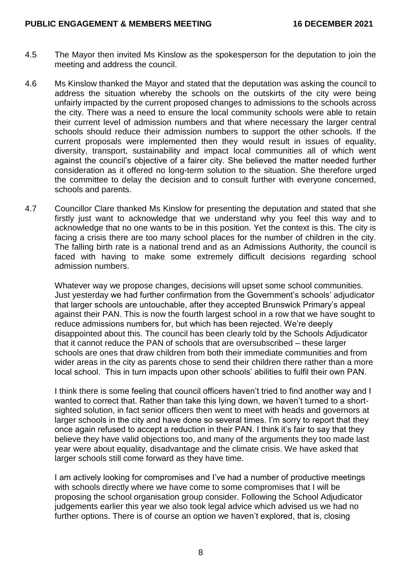- 4.5 The Mayor then invited Ms Kinslow as the spokesperson for the deputation to join the meeting and address the council.
- 4.6 Ms Kinslow thanked the Mayor and stated that the deputation was asking the council to address the situation whereby the schools on the outskirts of the city were being unfairly impacted by the current proposed changes to admissions to the schools across the city. There was a need to ensure the local community schools were able to retain their current level of admission numbers and that where necessary the larger central schools should reduce their admission numbers to support the other schools. If the current proposals were implemented then they would result in issues of equality, diversity, transport, sustainability and impact local communities all of which went against the council's objective of a fairer city. She believed the matter needed further consideration as it offered no long-term solution to the situation. She therefore urged the committee to delay the decision and to consult further with everyone concerned, schools and parents.
- 4.7 Councillor Clare thanked Ms Kinslow for presenting the deputation and stated that she firstly just want to acknowledge that we understand why you feel this way and to acknowledge that no one wants to be in this position. Yet the context is this. The city is facing a crisis there are too many school places for the number of children in the city. The falling birth rate is a national trend and as an Admissions Authority, the council is faced with having to make some extremely difficult decisions regarding school admission numbers.

Whatever way we propose changes, decisions will upset some school communities. Just yesterday we had further confirmation from the Government's schools' adjudicator that larger schools are untouchable, after they accepted Brunswick Primary's appeal against their PAN. This is now the fourth largest school in a row that we have sought to reduce admissions numbers for, but which has been rejected. We're deeply disappointed about this. The council has been clearly told by the Schools Adjudicator that it cannot reduce the PAN of schools that are oversubscribed – these larger schools are ones that draw children from both their immediate communities and from wider areas in the city as parents chose to send their children there rather than a more local school. This in turn impacts upon other schools' abilities to fulfil their own PAN.

I think there is some feeling that council officers haven't tried to find another way and I wanted to correct that. Rather than take this lying down, we haven't turned to a shortsighted solution, in fact senior officers then went to meet with heads and governors at larger schools in the city and have done so several times. I'm sorry to report that they once again refused to accept a reduction in their PAN. I think it's fair to say that they believe they have valid objections too, and many of the arguments they too made last year were about equality, disadvantage and the climate crisis. We have asked that larger schools still come forward as they have time.

I am actively looking for compromises and I've had a number of productive meetings with schools directly where we have come to some compromises that I will be proposing the school organisation group consider. Following the School Adjudicator judgements earlier this year we also took legal advice which advised us we had no further options. There is of course an option we haven't explored, that is, closing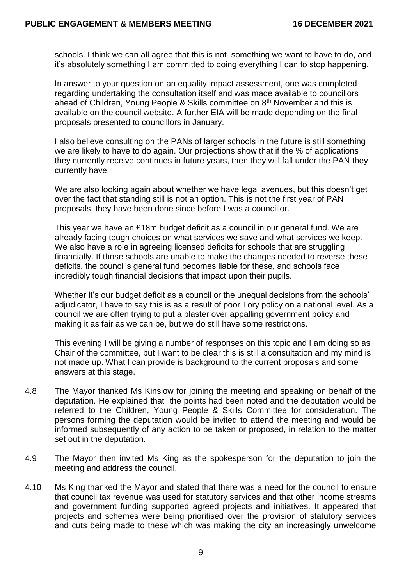schools. I think we can all agree that this is not something we want to have to do, and it's absolutely something I am committed to doing everything I can to stop happening.

In answer to your question on an equality impact assessment, one was completed regarding undertaking the consultation itself and was made available to councillors ahead of Children, Young People & Skills committee on 8<sup>th</sup> November and this is available on the council website. A further EIA will be made depending on the final proposals presented to councillors in January.

I also believe consulting on the PANs of larger schools in the future is still something we are likely to have to do again. Our projections show that if the % of applications they currently receive continues in future years, then they will fall under the PAN they currently have.

We are also looking again about whether we have legal avenues, but this doesn't get over the fact that standing still is not an option. This is not the first year of PAN proposals, they have been done since before I was a councillor.

This year we have an £18m budget deficit as a council in our general fund. We are already facing tough choices on what services we save and what services we keep. We also have a role in agreeing licensed deficits for schools that are struggling financially. If those schools are unable to make the changes needed to reverse these deficits, the council's general fund becomes liable for these, and schools face incredibly tough financial decisions that impact upon their pupils.

Whether it's our budget deficit as a council or the unequal decisions from the schools' adjudicator, I have to say this is as a result of poor Tory policy on a national level. As a council we are often trying to put a plaster over appalling government policy and making it as fair as we can be, but we do still have some restrictions.

This evening I will be giving a number of responses on this topic and I am doing so as Chair of the committee, but I want to be clear this is still a consultation and my mind is not made up. What I can provide is background to the current proposals and some answers at this stage.

- 4.8 The Mayor thanked Ms Kinslow for joining the meeting and speaking on behalf of the deputation. He explained that the points had been noted and the deputation would be referred to the Children, Young People & Skills Committee for consideration. The persons forming the deputation would be invited to attend the meeting and would be informed subsequently of any action to be taken or proposed, in relation to the matter set out in the deputation.
- 4.9 The Mayor then invited Ms King as the spokesperson for the deputation to join the meeting and address the council.
- 4.10 Ms King thanked the Mayor and stated that there was a need for the council to ensure that council tax revenue was used for statutory services and that other income streams and government funding supported agreed projects and initiatives. It appeared that projects and schemes were being prioritised over the provision of statutory services and cuts being made to these which was making the city an increasingly unwelcome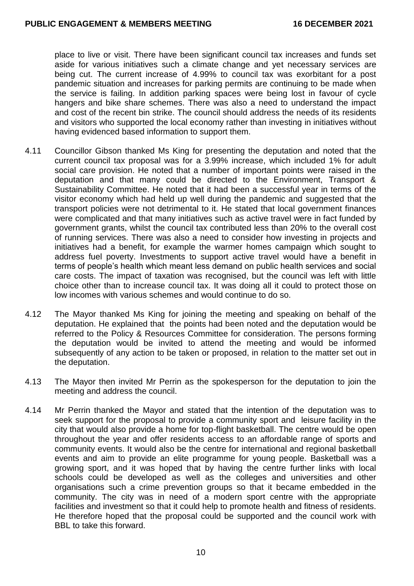place to live or visit. There have been significant council tax increases and funds set aside for various initiatives such a climate change and yet necessary services are being cut. The current increase of 4.99% to council tax was exorbitant for a post pandemic situation and increases for parking permits are continuing to be made when the service is failing. In addition parking spaces were being lost in favour of cycle hangers and bike share schemes. There was also a need to understand the impact and cost of the recent bin strike. The council should address the needs of its residents and visitors who supported the local economy rather than investing in initiatives without having evidenced based information to support them.

- 4.11 Councillor Gibson thanked Ms King for presenting the deputation and noted that the current council tax proposal was for a 3.99% increase, which included 1% for adult social care provision. He noted that a number of important points were raised in the deputation and that many could be directed to the Environment, Transport & Sustainability Committee. He noted that it had been a successful year in terms of the visitor economy which had held up well during the pandemic and suggested that the transport policies were not detrimental to it. He stated that local government finances were complicated and that many initiatives such as active travel were in fact funded by government grants, whilst the council tax contributed less than 20% to the overall cost of running services. There was also a need to consider how investing in projects and initiatives had a benefit, for example the warmer homes campaign which sought to address fuel poverty. Investments to support active travel would have a benefit in terms of people's health which meant less demand on public health services and social care costs. The impact of taxation was recognised, but the council was left with little choice other than to increase council tax. It was doing all it could to protect those on low incomes with various schemes and would continue to do so.
- 4.12 The Mayor thanked Ms King for joining the meeting and speaking on behalf of the deputation. He explained that the points had been noted and the deputation would be referred to the Policy & Resources Committee for consideration. The persons forming the deputation would be invited to attend the meeting and would be informed subsequently of any action to be taken or proposed, in relation to the matter set out in the deputation.
- 4.13 The Mayor then invited Mr Perrin as the spokesperson for the deputation to join the meeting and address the council.
- 4.14 Mr Perrin thanked the Mayor and stated that the intention of the deputation was to seek support for the proposal to provide a community sport and leisure facility in the city that would also provide a home for top-flight basketball. The centre would be open throughout the year and offer residents access to an affordable range of sports and community events. It would also be the centre for international and regional basketball events and aim to provide an elite programme for young people. Basketball was a growing sport, and it was hoped that by having the centre further links with local schools could be developed as well as the colleges and universities and other organisations such a crime prevention groups so that it became embedded in the community. The city was in need of a modern sport centre with the appropriate facilities and investment so that it could help to promote health and fitness of residents. He therefore hoped that the proposal could be supported and the council work with BBL to take this forward.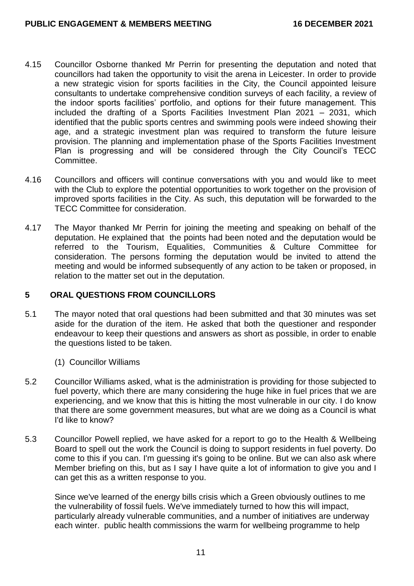- 4.15 Councillor Osborne thanked Mr Perrin for presenting the deputation and noted that councillors had taken the opportunity to visit the arena in Leicester. In order to provide a new strategic vision for sports facilities in the City, the Council appointed leisure consultants to undertake comprehensive condition surveys of each facility, a review of the indoor sports facilities' portfolio, and options for their future management. This included the drafting of a Sports Facilities Investment Plan 2021 – 2031, which identified that the public sports centres and swimming pools were indeed showing their age, and a strategic investment plan was required to transform the future leisure provision. The planning and implementation phase of the Sports Facilities Investment Plan is progressing and will be considered through the City Council's TECC Committee.
- 4.16 Councillors and officers will continue conversations with you and would like to meet with the Club to explore the potential opportunities to work together on the provision of improved sports facilities in the City. As such, this deputation will be forwarded to the TECC Committee for consideration.
- 4.17 The Mayor thanked Mr Perrin for joining the meeting and speaking on behalf of the deputation. He explained that the points had been noted and the deputation would be referred to the Tourism, Equalities, Communities & Culture Committee for consideration. The persons forming the deputation would be invited to attend the meeting and would be informed subsequently of any action to be taken or proposed, in relation to the matter set out in the deputation.

# **5 ORAL QUESTIONS FROM COUNCILLORS**

- 5.1 The mayor noted that oral questions had been submitted and that 30 minutes was set aside for the duration of the item. He asked that both the questioner and responder endeavour to keep their questions and answers as short as possible, in order to enable the questions listed to be taken.
	- (1) Councillor Williams
- 5.2 Councillor Williams asked, what is the administration is providing for those subjected to fuel poverty, which there are many considering the huge hike in fuel prices that we are experiencing, and we know that this is hitting the most vulnerable in our city. I do know that there are some government measures, but what are we doing as a Council is what I'd like to know?
- 5.3 Councillor Powell replied, we have asked for a report to go to the Health & Wellbeing Board to spell out the work the Council is doing to support residents in fuel poverty. Do come to this if you can. I'm guessing it's going to be online. But we can also ask where Member briefing on this, but as I say I have quite a lot of information to give you and I can get this as a written response to you.

Since we've learned of the energy bills crisis which a Green obviously outlines to me the vulnerability of fossil fuels. We've immediately turned to how this will impact, particularly already vulnerable communities, and a number of initiatives are underway each winter. public health commissions the warm for wellbeing programme to help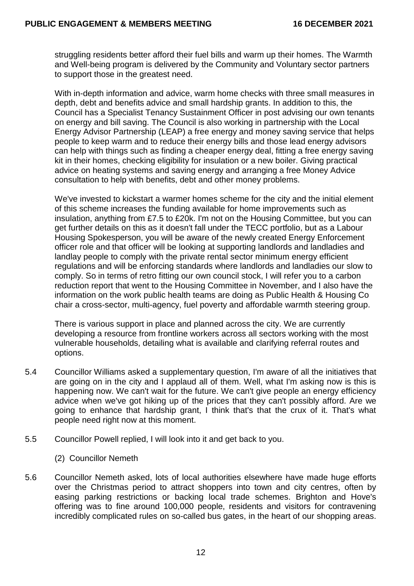struggling residents better afford their fuel bills and warm up their homes. The Warmth and Well-being program is delivered by the Community and Voluntary sector partners to support those in the greatest need.

With in-depth information and advice, warm home checks with three small measures in depth, debt and benefits advice and small hardship grants. In addition to this, the Council has a Specialist Tenancy Sustainment Officer in post advising our own tenants on energy and bill saving. The Council is also working in partnership with the Local Energy Advisor Partnership (LEAP) a free energy and money saving service that helps people to keep warm and to reduce their energy bills and those lead energy advisors can help with things such as finding a cheaper energy deal, fitting a free energy saving kit in their homes, checking eligibility for insulation or a new boiler. Giving practical advice on heating systems and saving energy and arranging a free Money Advice consultation to help with benefits, debt and other money problems.

We've invested to kickstart a warmer homes scheme for the city and the initial element of this scheme increases the funding available for home improvements such as insulation, anything from £7.5 to £20k. I'm not on the Housing Committee, but you can get further details on this as it doesn't fall under the TECC portfolio, but as a Labour Housing Spokesperson, you will be aware of the newly created Energy Enforcement officer role and that officer will be looking at supporting landlords and landladies and landlay people to comply with the private rental sector minimum energy efficient regulations and will be enforcing standards where landlords and landladies our slow to comply. So in terms of retro fitting our own council stock, I will refer you to a carbon reduction report that went to the Housing Committee in November, and I also have the information on the work public health teams are doing as Public Health & Housing Co chair a cross-sector, multi-agency, fuel poverty and affordable warmth steering group.

There is various support in place and planned across the city. We are currently developing a resource from frontline workers across all sectors working with the most vulnerable households, detailing what is available and clarifying referral routes and options.

- 5.4 Councillor Williams asked a supplementary question, I'm aware of all the initiatives that are going on in the city and I applaud all of them. Well, what I'm asking now is this is happening now. We can't wait for the future. We can't give people an energy efficiency advice when we've got hiking up of the prices that they can't possibly afford. Are we going to enhance that hardship grant, I think that's that the crux of it. That's what people need right now at this moment.
- 5.5 Councillor Powell replied, I will look into it and get back to you.
	- (2) Councillor Nemeth
- 5.6 Councillor Nemeth asked, lots of local authorities elsewhere have made huge efforts over the Christmas period to attract shoppers into town and city centres, often by easing parking restrictions or backing local trade schemes. Brighton and Hove's offering was to fine around 100,000 people, residents and visitors for contravening incredibly complicated rules on so-called bus gates, in the heart of our shopping areas.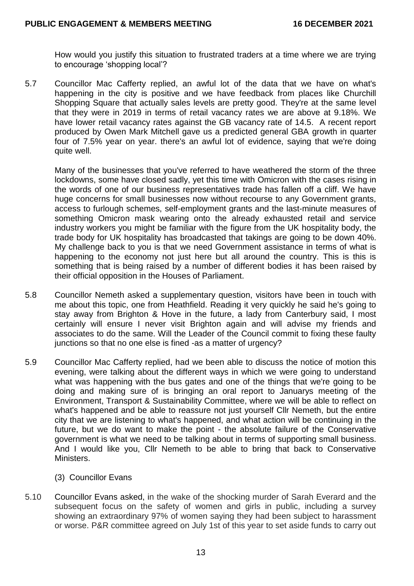How would you justify this situation to frustrated traders at a time where we are trying to encourage 'shopping local'?

5.7 Councillor Mac Cafferty replied, an awful lot of the data that we have on what's happening in the city is positive and we have feedback from places like Churchill Shopping Square that actually sales levels are pretty good. They're at the same level that they were in 2019 in terms of retail vacancy rates we are above at 9.18%. We have lower retail vacancy rates against the GB vacancy rate of 14.5. A recent report produced by Owen Mark Mitchell gave us a predicted general GBA growth in quarter four of 7.5% year on year. there's an awful lot of evidence, saying that we're doing quite well.

Many of the businesses that you've referred to have weathered the storm of the three lockdowns, some have closed sadly, yet this time with Omicron with the cases rising in the words of one of our business representatives trade has fallen off a cliff. We have huge concerns for small businesses now without recourse to any Government grants, access to furlough schemes, self-employment grants and the last-minute measures of something Omicron mask wearing onto the already exhausted retail and service industry workers you might be familiar with the figure from the UK hospitality body, the trade body for UK hospitality has broadcasted that takings are going to be down 40%. My challenge back to you is that we need Government assistance in terms of what is happening to the economy not just here but all around the country. This is this is something that is being raised by a number of different bodies it has been raised by their official opposition in the Houses of Parliament.

- 5.8 Councillor Nemeth asked a supplementary question, visitors have been in touch with me about this topic, one from Heathfield. Reading it very quickly he said he's going to stay away from Brighton & Hove in the future, a lady from Canterbury said, I most certainly will ensure I never visit Brighton again and will advise my friends and associates to do the same. Will the Leader of the Council commit to fixing these faulty junctions so that no one else is fined -as a matter of urgency?
- 5.9 Councillor Mac Cafferty replied, had we been able to discuss the notice of motion this evening, were talking about the different ways in which we were going to understand what was happening with the bus gates and one of the things that we're going to be doing and making sure of is bringing an oral report to Januarys meeting of the Environment, Transport & Sustainability Committee, where we will be able to reflect on what's happened and be able to reassure not just yourself Cllr Nemeth, but the entire city that we are listening to what's happened, and what action will be continuing in the future, but we do want to make the point - the absolute failure of the Conservative government is what we need to be talking about in terms of supporting small business. And I would like you, Cllr Nemeth to be able to bring that back to Conservative Ministers.
	- (3) Councillor Evans
- 5.10 Councillor Evans asked, in the wake of the shocking murder of Sarah Everard and the subsequent focus on the safety of women and girls in public, including a survey showing an extraordinary 97% of women saying they had been subject to harassment or worse. P&R committee agreed on July 1st of this year to set aside funds to carry out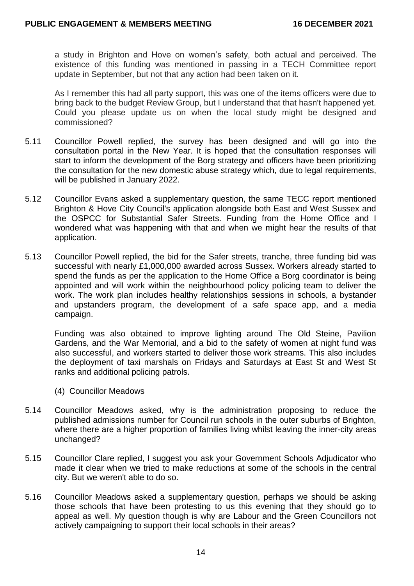a study in Brighton and Hove on women's safety, both actual and perceived. The existence of this funding was mentioned in passing in a TECH Committee report update in September, but not that any action had been taken on it.

As I remember this had all party support, this was one of the items officers were due to bring back to the budget Review Group, but I understand that that hasn't happened yet. Could you please update us on when the local study might be designed and commissioned?

- 5.11 Councillor Powell replied, the survey has been designed and will go into the consultation portal in the New Year. It is hoped that the consultation responses will start to inform the development of the Borg strategy and officers have been prioritizing the consultation for the new domestic abuse strategy which, due to legal requirements, will be published in January 2022.
- 5.12 Councillor Evans asked a supplementary question, the same TECC report mentioned Brighton & Hove City Council's application alongside both East and West Sussex and the OSPCC for Substantial Safer Streets. Funding from the Home Office and I wondered what was happening with that and when we might hear the results of that application.
- 5.13 Councillor Powell replied, the bid for the Safer streets, tranche, three funding bid was successful with nearly £1,000,000 awarded across Sussex. Workers already started to spend the funds as per the application to the Home Office a Borg coordinator is being appointed and will work within the neighbourhood policy policing team to deliver the work. The work plan includes healthy relationships sessions in schools, a bystander and upstanders program, the development of a safe space app, and a media campaign.

Funding was also obtained to improve lighting around The Old Steine, Pavilion Gardens, and the War Memorial, and a bid to the safety of women at night fund was also successful, and workers started to deliver those work streams. This also includes the deployment of taxi marshals on Fridays and Saturdays at East St and West St ranks and additional policing patrols.

- (4) Councillor Meadows
- 5.14 Councillor Meadows asked, why is the administration proposing to reduce the published admissions number for Council run schools in the outer suburbs of Brighton, where there are a higher proportion of families living whilst leaving the inner-city areas unchanged?
- 5.15 Councillor Clare replied, I suggest you ask your Government Schools Adjudicator who made it clear when we tried to make reductions at some of the schools in the central city. But we weren't able to do so.
- 5.16 Councillor Meadows asked a supplementary question, perhaps we should be asking those schools that have been protesting to us this evening that they should go to appeal as well. My question though is why are Labour and the Green Councillors not actively campaigning to support their local schools in their areas?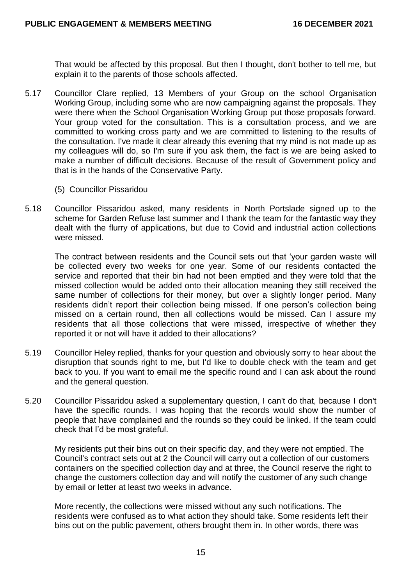That would be affected by this proposal. But then I thought, don't bother to tell me, but explain it to the parents of those schools affected.

- 5.17 Councillor Clare replied, 13 Members of your Group on the school Organisation Working Group, including some who are now campaigning against the proposals. They were there when the School Organisation Working Group put those proposals forward. Your group voted for the consultation. This is a consultation process, and we are committed to working cross party and we are committed to listening to the results of the consultation. I've made it clear already this evening that my mind is not made up as my colleagues will do, so I'm sure if you ask them, the fact is we are being asked to make a number of difficult decisions. Because of the result of Government policy and that is in the hands of the Conservative Party.
	- (5) Councillor Pissaridou
- 5.18 Councillor Pissaridou asked, many residents in North Portslade signed up to the scheme for Garden Refuse last summer and I thank the team for the fantastic way they dealt with the flurry of applications, but due to Covid and industrial action collections were missed.

The contract between residents and the Council sets out that 'your garden waste will be collected every two weeks for one year. Some of our residents contacted the service and reported that their bin had not been emptied and they were told that the missed collection would be added onto their allocation meaning they still received the same number of collections for their money, but over a slightly longer period. Many residents didn't report their collection being missed. If one person's collection being missed on a certain round, then all collections would be missed. Can I assure my residents that all those collections that were missed, irrespective of whether they reported it or not will have it added to their allocations?

- 5.19 Councillor Heley replied, thanks for your question and obviously sorry to hear about the disruption that sounds right to me, but I'd like to double check with the team and get back to you. If you want to email me the specific round and I can ask about the round and the general question.
- 5.20 Councillor Pissaridou asked a supplementary question, I can't do that, because I don't have the specific rounds. I was hoping that the records would show the number of people that have complained and the rounds so they could be linked. If the team could check that I'd be most grateful.

My residents put their bins out on their specific day, and they were not emptied. The Council's contract sets out at 2 the Council will carry out a collection of our customers containers on the specified collection day and at three, the Council reserve the right to change the customers collection day and will notify the customer of any such change by email or letter at least two weeks in advance.

More recently, the collections were missed without any such notifications. The residents were confused as to what action they should take. Some residents left their bins out on the public pavement, others brought them in. In other words, there was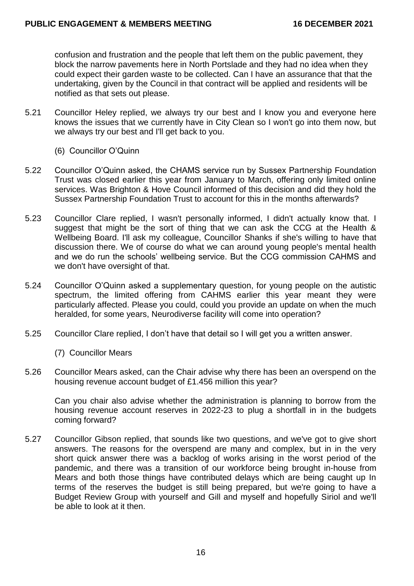confusion and frustration and the people that left them on the public pavement, they block the narrow pavements here in North Portslade and they had no idea when they could expect their garden waste to be collected. Can I have an assurance that that the undertaking, given by the Council in that contract will be applied and residents will be notified as that sets out please.

- 5.21 Councillor Heley replied, we always try our best and I know you and everyone here knows the issues that we currently have in City Clean so I won't go into them now, but we always try our best and I'll get back to you.
	- (6) Councillor O'Quinn
- 5.22 Councillor O'Quinn asked, the CHAMS service run by Sussex Partnership Foundation Trust was closed earlier this year from January to March, offering only limited online services. Was Brighton & Hove Council informed of this decision and did they hold the Sussex Partnership Foundation Trust to account for this in the months afterwards?
- 5.23 Councillor Clare replied, I wasn't personally informed, I didn't actually know that. I suggest that might be the sort of thing that we can ask the CCG at the Health & Wellbeing Board. I'll ask my colleague, Councillor Shanks if she's willing to have that discussion there. We of course do what we can around young people's mental health and we do run the schools' wellbeing service. But the CCG commission CAHMS and we don't have oversight of that.
- 5.24 Councillor O'Quinn asked a supplementary question, for young people on the autistic spectrum, the limited offering from CAHMS earlier this year meant they were particularly affected. Please you could, could you provide an update on when the much heralded, for some years, Neurodiverse facility will come into operation?
- 5.25 Councillor Clare replied, I don't have that detail so I will get you a written answer.
	- (7) Councillor Mears
- 5.26 Councillor Mears asked, can the Chair advise why there has been an overspend on the housing revenue account budget of £1.456 million this year?

Can you chair also advise whether the administration is planning to borrow from the housing revenue account reserves in 2022-23 to plug a shortfall in in the budgets coming forward?

5.27 Councillor Gibson replied, that sounds like two questions, and we've got to give short answers. The reasons for the overspend are many and complex, but in in the very short quick answer there was a backlog of works arising in the worst period of the pandemic, and there was a transition of our workforce being brought in-house from Mears and both those things have contributed delays which are being caught up In terms of the reserves the budget is still being prepared, but we're going to have a Budget Review Group with yourself and Gill and myself and hopefully Siriol and we'll be able to look at it then.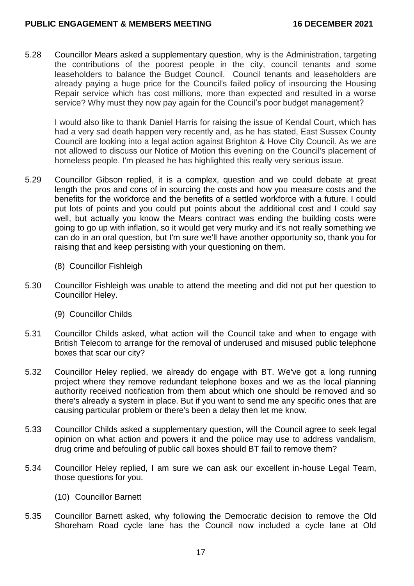5.28 Councillor Mears asked a supplementary question, why is the Administration, targeting the contributions of the poorest people in the city, council tenants and some leaseholders to balance the Budget Council. Council tenants and leaseholders are already paying a huge price for the Council's failed policy of insourcing the Housing Repair service which has cost millions, more than expected and resulted in a worse service? Why must they now pay again for the Council's poor budget management?

I would also like to thank Daniel Harris for raising the issue of Kendal Court, which has had a very sad death happen very recently and, as he has stated, East Sussex County Council are looking into a legal action against Brighton & Hove City Council. As we are not allowed to discuss our Notice of Motion this evening on the Council's placement of homeless people. I'm pleased he has highlighted this really very serious issue.

- 5.29 Councillor Gibson replied, it is a complex, question and we could debate at great length the pros and cons of in sourcing the costs and how you measure costs and the benefits for the workforce and the benefits of a settled workforce with a future. I could put lots of points and you could put points about the additional cost and I could say well, but actually you know the Mears contract was ending the building costs were going to go up with inflation, so it would get very murky and it's not really something we can do in an oral question, but I'm sure we'll have another opportunity so, thank you for raising that and keep persisting with your questioning on them.
	- (8) Councillor Fishleigh
- 5.30 Councillor Fishleigh was unable to attend the meeting and did not put her question to Councillor Heley.
	- (9) Councillor Childs
- 5.31 Councillor Childs asked, what action will the Council take and when to engage with British Telecom to arrange for the removal of underused and misused public telephone boxes that scar our city?
- 5.32 Councillor Heley replied, we already do engage with BT. We've got a long running project where they remove redundant telephone boxes and we as the local planning authority received notification from them about which one should be removed and so there's already a system in place. But if you want to send me any specific ones that are causing particular problem or there's been a delay then let me know.
- 5.33 Councillor Childs asked a supplementary question, will the Council agree to seek legal opinion on what action and powers it and the police may use to address vandalism, drug crime and befouling of public call boxes should BT fail to remove them?
- 5.34 Councillor Heley replied, I am sure we can ask our excellent in-house Legal Team, those questions for you.
	- (10) Councillor Barnett
- 5.35 Councillor Barnett asked, why following the Democratic decision to remove the Old Shoreham Road cycle lane has the Council now included a cycle lane at Old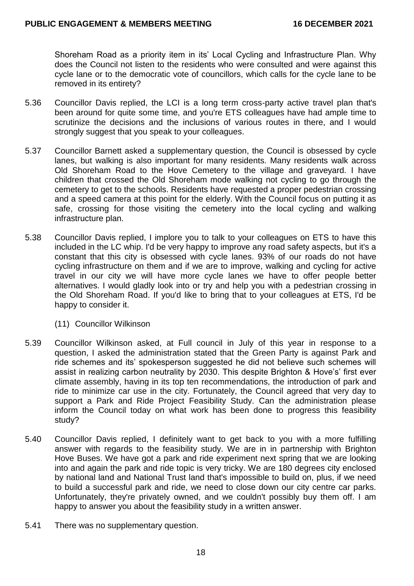Shoreham Road as a priority item in its' Local Cycling and Infrastructure Plan. Why does the Council not listen to the residents who were consulted and were against this cycle lane or to the democratic vote of councillors, which calls for the cycle lane to be removed in its entirety?

- 5.36 Councillor Davis replied, the LCI is a long term cross-party active travel plan that's been around for quite some time, and you're ETS colleagues have had ample time to scrutinize the decisions and the inclusions of various routes in there, and I would strongly suggest that you speak to your colleagues.
- 5.37 Councillor Barnett asked a supplementary question, the Council is obsessed by cycle lanes, but walking is also important for many residents. Many residents walk across Old Shoreham Road to the Hove Cemetery to the village and graveyard. I have children that crossed the Old Shoreham mode walking not cycling to go through the cemetery to get to the schools. Residents have requested a proper pedestrian crossing and a speed camera at this point for the elderly. With the Council focus on putting it as safe, crossing for those visiting the cemetery into the local cycling and walking infrastructure plan.
- 5.38 Councillor Davis replied, I implore you to talk to your colleagues on ETS to have this included in the LC whip. I'd be very happy to improve any road safety aspects, but it's a constant that this city is obsessed with cycle lanes. 93% of our roads do not have cycling infrastructure on them and if we are to improve, walking and cycling for active travel in our city we will have more cycle lanes we have to offer people better alternatives. I would gladly look into or try and help you with a pedestrian crossing in the Old Shoreham Road. If you'd like to bring that to your colleagues at ETS, I'd be happy to consider it.
	- (11) Councillor Wilkinson
- 5.39 Councillor Wilkinson asked, at Full council in July of this year in response to a question, I asked the administration stated that the Green Party is against Park and ride schemes and its' spokesperson suggested he did not believe such schemes will assist in realizing carbon neutrality by 2030. This despite Brighton & Hove's' first ever climate assembly, having in its top ten recommendations, the introduction of park and ride to minimize car use in the city. Fortunately, the Council agreed that very day to support a Park and Ride Project Feasibility Study. Can the administration please inform the Council today on what work has been done to progress this feasibility study?
- 5.40 Councillor Davis replied, I definitely want to get back to you with a more fulfilling answer with regards to the feasibility study. We are in in partnership with Brighton Hove Buses. We have got a park and ride experiment next spring that we are looking into and again the park and ride topic is very tricky. We are 180 degrees city enclosed by national land and National Trust land that's impossible to build on, plus, if we need to build a successful park and ride, we need to close down our city centre car parks. Unfortunately, they're privately owned, and we couldn't possibly buy them off. I am happy to answer you about the feasibility study in a written answer.
- 5.41 There was no supplementary question.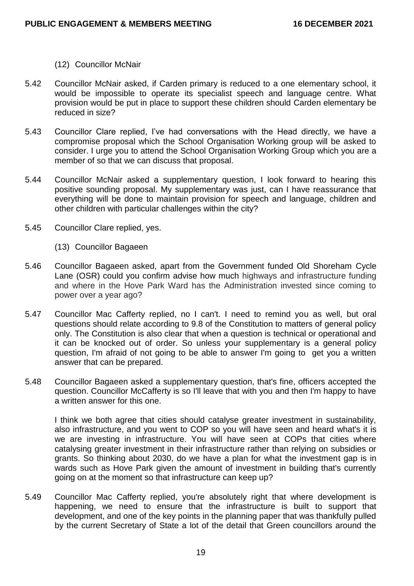- (12) Councillor McNair
- 5.42 Councillor McNair asked, if Carden primary is reduced to a one elementary school, it would be impossible to operate its specialist speech and language centre. What provision would be put in place to support these children should Carden elementary be reduced in size?
- 5.43 Councillor Clare replied, I've had conversations with the Head directly, we have a compromise proposal which the School Organisation Working group will be asked to consider. I urge you to attend the School Organisation Working Group which you are a member of so that we can discuss that proposal.
- 5.44 Councillor McNair asked a supplementary question, I look forward to hearing this positive sounding proposal. My supplementary was just, can I have reassurance that everything will be done to maintain provision for speech and language, children and other children with particular challenges within the city?
- 5.45 Councillor Clare replied, yes.
	- (13) Councillor Bagaeen
- 5.46 Councillor Bagaeen asked, apart from the Government funded Old Shoreham Cycle Lane (OSR) could you confirm advise how much highways and infrastructure funding and where in the Hove Park Ward has the Administration invested since coming to power over a year ago?
- 5.47 Councillor Mac Cafferty replied, no I can't. I need to remind you as well, but oral questions should relate according to 9.8 of the Constitution to matters of general policy only. The Constitution is also clear that when a question is technical or operational and it can be knocked out of order. So unless your supplementary is a general policy question, I'm afraid of not going to be able to answer I'm going to get you a written answer that can be prepared.
- 5.48 Councillor Bagaeen asked a supplementary question, that's fine, officers accepted the question. Councillor McCafferty is so I'll leave that with you and then I'm happy to have a written answer for this one.

I think we both agree that cities should catalyse greater investment in sustainability, also infrastructure, and you went to COP so you will have seen and heard what's it is we are investing in infrastructure. You will have seen at COPs that cities where catalysing greater investment in their infrastructure rather than relying on subsidies or grants. So thinking about 2030, do we have a plan for what the investment gap is in wards such as Hove Park given the amount of investment in building that's currently going on at the moment so that infrastructure can keep up?

5.49 Councillor Mac Cafferty replied, you're absolutely right that where development is happening, we need to ensure that the infrastructure is built to support that development, and one of the key points in the planning paper that was thankfully pulled by the current Secretary of State a lot of the detail that Green councillors around the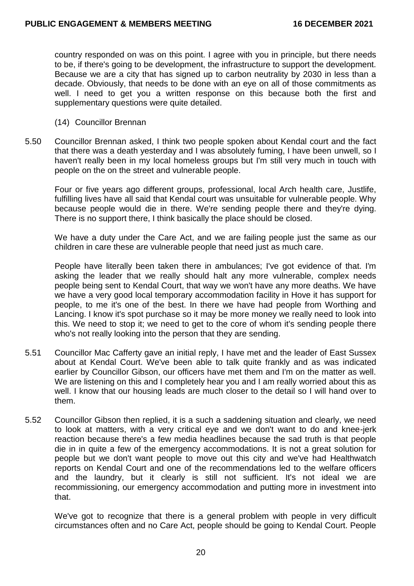country responded on was on this point. I agree with you in principle, but there needs to be, if there's going to be development, the infrastructure to support the development. Because we are a city that has signed up to carbon neutrality by 2030 in less than a decade. Obviously, that needs to be done with an eye on all of those commitments as well. I need to get you a written response on this because both the first and supplementary questions were quite detailed.

- (14) Councillor Brennan
- 5.50 Councillor Brennan asked, I think two people spoken about Kendal court and the fact that there was a death yesterday and I was absolutely fuming, I have been unwell, so I haven't really been in my local homeless groups but I'm still very much in touch with people on the on the street and vulnerable people.

Four or five years ago different groups, professional, local Arch health care, Justlife, fulfilling lives have all said that Kendal court was unsuitable for vulnerable people. Why because people would die in there. We're sending people there and they're dying. There is no support there, I think basically the place should be closed.

We have a duty under the Care Act, and we are failing people just the same as our children in care these are vulnerable people that need just as much care.

People have literally been taken there in ambulances; I've got evidence of that. I'm asking the leader that we really should halt any more vulnerable, complex needs people being sent to Kendal Court, that way we won't have any more deaths. We have we have a very good local temporary accommodation facility in Hove it has support for people, to me it's one of the best. In there we have had people from Worthing and Lancing. I know it's spot purchase so it may be more money we really need to look into this. We need to stop it: we need to get to the core of whom it's sending people there who's not really looking into the person that they are sending.

- 5.51 Councillor Mac Cafferty gave an initial reply, I have met and the leader of East Sussex about at Kendal Court. We've been able to talk quite frankly and as was indicated earlier by Councillor Gibson, our officers have met them and I'm on the matter as well. We are listening on this and I completely hear you and I am really worried about this as well. I know that our housing leads are much closer to the detail so I will hand over to them.
- 5.52 Councillor Gibson then replied, it is a such a saddening situation and clearly, we need to look at matters, with a very critical eye and we don't want to do and knee-jerk reaction because there's a few media headlines because the sad truth is that people die in in quite a few of the emergency accommodations. It is not a great solution for people but we don't want people to move out this city and we've had Healthwatch reports on Kendal Court and one of the recommendations led to the welfare officers and the laundry, but it clearly is still not sufficient. It's not ideal we are recommissioning, our emergency accommodation and putting more in investment into that.

We've got to recognize that there is a general problem with people in very difficult circumstances often and no Care Act, people should be going to Kendal Court. People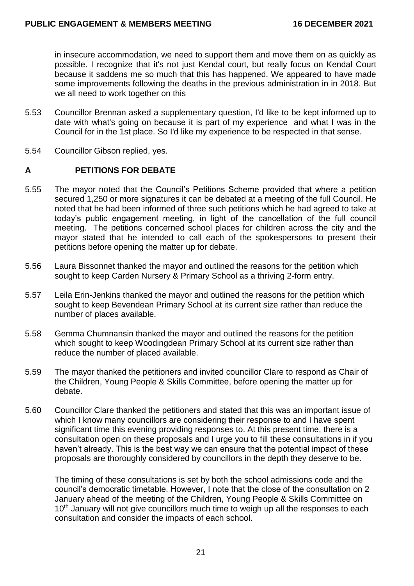in insecure accommodation, we need to support them and move them on as quickly as possible. I recognize that it's not just Kendal court, but really focus on Kendal Court because it saddens me so much that this has happened. We appeared to have made some improvements following the deaths in the previous administration in in 2018. But we all need to work together on this

- 5.53 Councillor Brennan asked a supplementary question, I'd like to be kept informed up to date with what's going on because it is part of my experience and what I was in the Council for in the 1st place. So I'd like my experience to be respected in that sense.
- 5.54 Councillor Gibson replied, yes.

# **A PETITIONS FOR DEBATE**

- 5.55 The mayor noted that the Council's Petitions Scheme provided that where a petition secured 1,250 or more signatures it can be debated at a meeting of the full Council. He noted that he had been informed of three such petitions which he had agreed to take at today's public engagement meeting, in light of the cancellation of the full council meeting. The petitions concerned school places for children across the city and the mayor stated that he intended to call each of the spokespersons to present their petitions before opening the matter up for debate.
- 5.56 Laura Bissonnet thanked the mayor and outlined the reasons for the petition which sought to keep Carden Nursery & Primary School as a thriving 2-form entry.
- 5.57 Leila Erin-Jenkins thanked the mayor and outlined the reasons for the petition which sought to keep Bevendean Primary School at its current size rather than reduce the number of places available.
- 5.58 Gemma Chumnansin thanked the mayor and outlined the reasons for the petition which sought to keep Woodingdean Primary School at its current size rather than reduce the number of placed available.
- 5.59 The mayor thanked the petitioners and invited councillor Clare to respond as Chair of the Children, Young People & Skills Committee, before opening the matter up for debate.
- 5.60 Councillor Clare thanked the petitioners and stated that this was an important issue of which I know many councillors are considering their response to and I have spent significant time this evening providing responses to. At this present time, there is a consultation open on these proposals and I urge you to fill these consultations in if you haven't already. This is the best way we can ensure that the potential impact of these proposals are thoroughly considered by councillors in the depth they deserve to be.

The timing of these consultations is set by both the school admissions code and the council's democratic timetable. However, I note that the close of the consultation on 2 January ahead of the meeting of the Children, Young People & Skills Committee on 10<sup>th</sup> January will not give councillors much time to weigh up all the responses to each consultation and consider the impacts of each school.